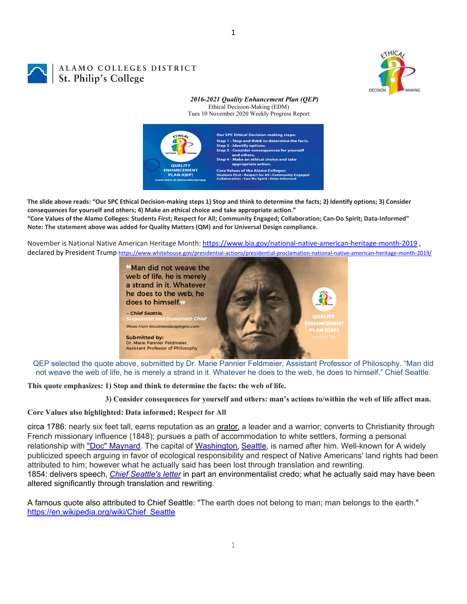

# ALAMO COLLEGES DISTRICT St. Philip's College

#### *2016-2021 Quality Enhancement Plan (QEP)* Ethical Decision-Making (EDM) Tues 10 November 2020 Weekly Progress Report



The slide above reads: "Our SPC Ethical Decision-making steps 1) Stop and think to determine the facts; 2) Identify options; 3) Consider **consequences for yourself and others; 4) Make an ethical choice and take appropriate action."**

"Core Values of the Alamo Colleges: Students First; Respect for All; Community Engaged; Collaboration; Can-Do Spirit; Data-Informed" **Note: The statement above was added for Quality Matters (QM) and for Universal Design compliance.**

November is National Native American Heritage Month: https://www.bia.gov/national-native-american-heritage-month-2019, declared by President Trump https://www.whitehouse.gov/presidential-actions/presidential-proclamation-national-native-american-heritage-month-2019/



QEP selected the quote above, submitted by Dr. Marie Pannier Feldmeier, Assistant Professor of Philosophy. "Man did not weave the web of life, he is merely a strand in it. Whatever he does to the web, he does to himself." Chief Seattle.

**This quote emphasizes: 1) Stop and think to determine the facts: the web of life.** 

 **3) Consider consequences for yourself and others: man's actions to/within the web of life affect man.** 

### **Core Values also highlighted: Data informed; Respect for All**

circa 1786: nearly six feet tall, earns reputation as an orator, a leader and a warrior; converts to Christianity through French missionary influence (1848); pursues a path of accommodation to white settlers, forming a personal relationship with "Doc" Maynard. The capital of Washington, Seattle, is named after him. Well-known for A widely publicized speech arguing in favor of ecological responsibility and respect of Native Americans' land rights had been attributed to him; however what he actually said has been lost through translation and rewriting. 1854: delivers speech, *Chief Seattle's letter* in part an environmentalist credo; what he actually said may have been altered significantly through translation and rewriting.

A famous quote also attributed to Chief Seattle: "The earth does not belong to man; man belongs to the earth." https://en.wikipedia.org/wiki/Chief Seattle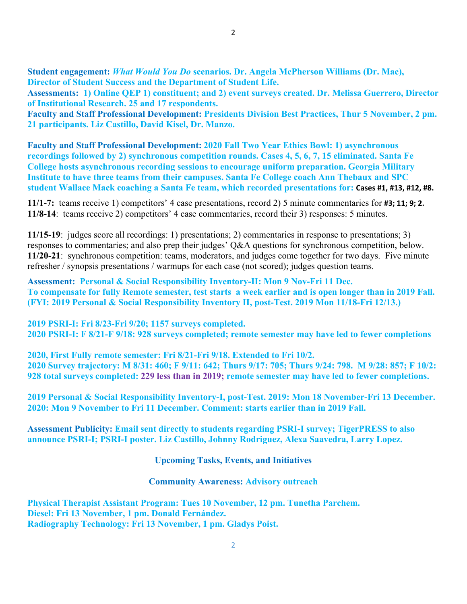**Student engagement:** *What Would You Do* **scenarios. Dr. Angela McPherson Williams (Dr. Mac), Director of Student Success and the Department of Student Life.** 

**Assessments: 1) Online QEP 1) constituent; and 2) event surveys created. Dr. Melissa Guerrero, Director of Institutional Research. 25 and 17 respondents.**

**Faculty and Staff Professional Development: Presidents Division Best Practices, Thur 5 November, 2 pm. 21 participants. Liz Castillo, David Kisel, Dr. Manzo.** 

**Faculty and Staff Professional Development: 2020 Fall Two Year Ethics Bowl: 1) asynchronous recordings followed by 2) synchronous competition rounds. Cases 4, 5, 6, 7, 15 eliminated. Santa Fe College hosts asynchronous recording sessions to encourage uniform preparation. Georgia Military Institute to have three teams from their campuses. Santa Fe College coach Ann Thebaux and SPC student Wallace Mack coaching a Santa Fe team, which recorded presentations for: Cases #1, #13, #12, #8.**

**11/1-7:** teams receive 1) competitors' 4 case presentations, record 2) 5 minute commentaries for **#3; 11; 9; 2. 11/8-14**: teams receive 2) competitors' 4 case commentaries, record their 3) responses: 5 minutes.

**11/15-19**: judges score all recordings: 1) presentations; 2) commentaries in response to presentations; 3) responses to commentaries; and also prep their judges' Q&A questions for synchronous competition, below. **11/20-21**: synchronous competition: teams, moderators, and judges come together for two days. Five minute refresher / synopsis presentations / warmups for each case (not scored); judges question teams.

**Assessment: Personal & Social Responsibility Inventory-II: Mon 9 Nov-Fri 11 Dec. To compensate for fully Remote semester, test starts a week earlier and is open longer than in 2019 Fall. (FYI: 2019 Personal & Social Responsibility Inventory II, post-Test. 2019 Mon 11/18-Fri 12/13.)** 

**2019 PSRI-I: Fri 8/23-Fri 9/20; 1157 surveys completed. 2020 PSRI-I: F 8/21-F 9/18: 928 surveys completed; remote semester may have led to fewer completions** 

**2020, First Fully remote semester: Fri 8/21-Fri 9/18. Extended to Fri 10/2. 2020 Survey trajectory: M 8/31: 460; F 9/11: 642; Thurs 9/17: 705; Thurs 9/24: 798. M 9/28: 857; F 10/2: 928 total surveys completed: 229 less than in 2019; remote semester may have led to fewer completions.** 

**2019 Personal & Social Responsibility Inventory-I, post-Test. 2019: Mon 18 November-Fri 13 December. 2020: Mon 9 November to Fri 11 December. Comment: starts earlier than in 2019 Fall.** 

**Assessment Publicity: Email sent directly to students regarding PSRI-I survey; TigerPRESS to also announce PSRI-I; PSRI-I poster. Liz Castillo, Johnny Rodriguez, Alexa Saavedra, Larry Lopez.** 

**Upcoming Tasks, Events, and Initiatives** 

# **Community Awareness: Advisory outreach**

**Physical Therapist Assistant Program: Tues 10 November, 12 pm. Tunetha Parchem. Diesel: Fri 13 November, 1 pm. Donald Fernández. Radiography Technology: Fri 13 November, 1 pm. Gladys Poist.**